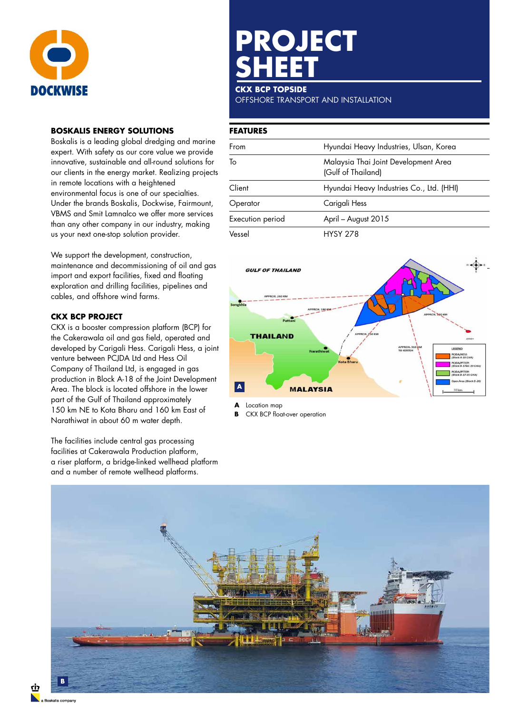

# **BOSKALIS ENERGY SOLUTIONS**

Boskalis is a leading global dredging and marine expert. With safety as our core value we provide innovative, sustainable and all-round solutions for our clients in the energy market. Realizing projects in remote locations with a heightened environmental focus is one of our specialties. Under the brands Boskalis, Dockwise, Fairmount, VBMS and Smit Lamnalco we offer more services than any other company in our industry, making us your next one-stop solution provider.

We support the development, construction, maintenance and decommissioning of oil and gas import and export facilities, fixed and floating exploration and drilling facilities, pipelines and cables, and offshore wind farms.

# **CKX BCP PROJECT**

CKX is a booster compression platform (BCP) for the Cakerawala oil and gas field, operated and developed by Carigali Hess. Carigali Hess, a joint venture between PCJDA Ltd and Hess Oil Company of Thailand Ltd, is engaged in gas production in Block A-18 of the Joint Development Area. The block is located offshore in the lower part of the Gulf of Thailand approximately 150 km NE to Kota Bharu and 160 km East of Narathiwat in about 60 m water depth.

The facilities include central gas processing facilities at Cakerawala Production platform, a riser platform, a bridge-linked wellhead platform and a number of remote wellhead platforms.

# **PROJECT SHEET**

### **CKX BCP TOPSIDE**

OFFSHORE TRANSPORT AND INSTALLATION

## **FEATURES**

| From             | Hyundai Heavy Industries, Ulsan, Korea                     |  |
|------------------|------------------------------------------------------------|--|
| To               | Malaysia Thai Joint Development Area<br>(Gulf of Thailand) |  |
| Client           | Hyundai Heavy Industries Co., Ltd. (HHI)                   |  |
| Operator         | Carigali Hess                                              |  |
| Execution period | April - August 2015                                        |  |
| Vessel           | <b>HYSY 278</b>                                            |  |



**A** Location map

**B** CKX BCP float-over operation



٢İ٦